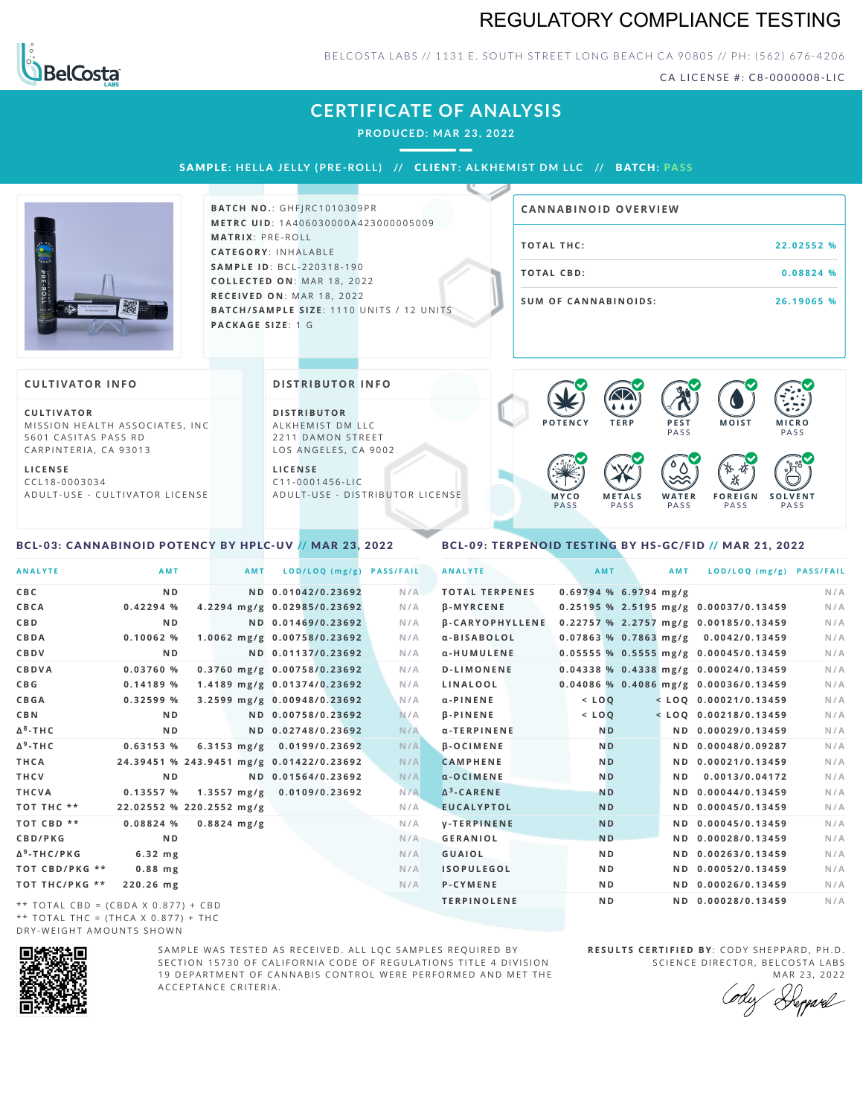## REGULATORY COMPLIANCE TESTING



### BELCOSTA LABS // 1131 E. SOUTH STREET LONG BEACH CA 90805 // PH: (562) 676-4206

CA LICENSE #: C8-0000008-LIC

## **CERTIFICATE OF ANALYSIS**

**PRODUCED: MA R 23, 2022**

SAMPLE: HELLA JELLY (PRE-ROLL) // CLIENT: ALKHEMIST DM LLC // BATCH: PASS



**BATCH NO.: GHFJRC1010309PR M E T R C U ID** :1 A 4 0 6 0 3 0 0 0 0 A 4 2 3 0 0 0 0 0 5 0 0 9 **M AT R I X** :P R E - R O L L **CAT E G O R Y** : I N H A L A B L E **SA M P L E I D** :B C L - 2 2 0 3 1 8 - 1 9 0  $COLLECTED ON: MAR 18, 2022$ **R E C E I V E D O N** : M A R 1 8 ,2 0 2 2 **BATCH/SAMPLE SIZE:** 1110 UNITS / 12 UNITS **PAC KA G E S I Z E** : 1 G

| <b>CANNABINOID OVERVIEW</b> |            |
|-----------------------------|------------|
| TOTAL THC:                  | 22.02552 % |
| TOTAL CBD:                  | 0.08824 %  |
| <b>SUM OF CANNABINOIDS:</b> | 26.19065 % |

 $\bullet$  60 60 60 60

#### **CULTIVATOR I N FO**

**C U L T I VAT O R** MISSION HEALTH ASSOCIATES, INC 5601 CASITAS PASS RD CARPINTERIA, CA 93013

**L I C E N S E** C C L 1 8 - 0 0 0 3 0 3 4 A D U L T - U S E - C U L T I V A T O R L I C E N S E **DI STRIBUTOR I N FO**

**D I S T R IB U T O R** ALKHEMIST DM LLC 2211 DAMON STREET LOS ANGELES, CA 9002

**L I C E N S E**  $C11 - 0001456 - HC$ A D U L T - U S E - D I STRIBUTOR LICENSE



#### <span id="page-0-0"></span>BCL-03: CANNABINOID POTENCY BY HPLC-UV // MAR 23, 2022

#### <span id="page-0-1"></span>BCL-09: TERPENOID TESTING BY HS-GC/FID // MAR 21, 2022

| <b>ANALYTE</b>                      | AMT                                      | <b>AMT</b>    | LOD/LOQ (mg/g)                       | <b>PASS/FAIL</b> | <b>ANALYTE</b>         |         | AMT                     | <b>AMT</b> | LOD/LOQ (mg/g) PASS/FAIL                |     |
|-------------------------------------|------------------------------------------|---------------|--------------------------------------|------------------|------------------------|---------|-------------------------|------------|-----------------------------------------|-----|
| C B C                               | N <sub>D</sub>                           |               | ND 0.01042/0.23692                   | N/A              | <b>TOTAL TERPENES</b>  |         | $0.69794$ % 6.9794 mg/g |            |                                         | N/A |
| CBCA                                | 0.42294%                                 |               | 4.2294 mg/g 0.02985/0.23692          | N/A              | <b>B-MYRCENE</b>       |         |                         |            | 0.25195 % 2.5195 mg/g 0.00037/0.13459   | N/A |
| C B D                               | N <sub>D</sub>                           |               | ND 0.01469/0.23692                   | N/A              | <b>B-CARYOPHYLLENE</b> |         |                         |            | 0.22757 % 2.2757 mg/g 0.00185/0.13459   | N/A |
| CBDA                                | 0.10062%                                 |               | 1.0062 mg/g 0.00758/0.23692          | N/A              | α-BISABOLOL            |         |                         |            | $0.07863$ % 0.7863 mg/g 0.0042/0.13459  | N/A |
| <b>CBDV</b>                         | N <sub>D</sub>                           |               | ND 0.01137/0.23692                   | N/A              | α-HUMULENE             |         |                         |            | 0.05555 % 0.5555 mg/g 0.00045/0.13459   | N/A |
| CBDVA                               | 0.03760%                                 |               | 0.3760 mg/g 0.00758/0.23692          | N/A              | <b>D-LIMONENE</b>      |         |                         |            | $0.04338$ % 0.4338 mg/g 0.00024/0.13459 | N/A |
| C B G                               | 0.14189%                                 |               | 1.4189 mg/g 0.01374/0.23692          | N/A              | LINALOOL               |         |                         |            | 0.04086 % 0.4086 mg/g 0.00036/0.13459   | N/A |
| <b>CBGA</b>                         | 0.32599%                                 |               | 3.2599 mg/g 0.00948/0.23692          | N/A              | $\alpha$ -PINENE       | $<$ LOQ |                         |            | $<$ LOQ 0.00021/0.13459                 | N/A |
| C B N                               | ND.                                      |               | ND 0.00758/0.23692                   | N/A              | $\beta$ -PINENE        | $<$ LOQ |                         |            | $<$ LOQ 0.00218/0.13459                 | N/A |
| Δ <sup>8</sup> -ΤΗ C                | N <sub>D</sub>                           |               | ND 0.02748/0.23692                   | N/A              | α-TERPINENE            |         | N <sub>D</sub>          |            | ND 0.00029/0.13459                      | N/A |
| Δ <sup>9</sup> -ΤΗ C                | 0.63153%                                 |               | 6.3153 mg/g 0.0199/0.23692           | N/A              | <b>B-OCIMENE</b>       |         | <b>ND</b>               |            | ND 0.00048/0.09287                      | N/A |
| THCA                                | 24.39451 % 243.9451 mg/g 0.01422/0.23692 |               |                                      | N/A              | <b>CAMPHENE</b>        |         | <b>ND</b>               |            | ND 0.00021/0.13459                      | N/A |
| THCV                                | N <sub>D</sub>                           |               | ND 0.01564/0.23692                   | N/A              | $\alpha$ -OCIMENE      |         | N <sub>D</sub>          | ND.        | 0.0013/0.04172                          | N/A |
| THCVA                               | 0.13557%                                 |               | $1.3557 \text{ mg/g}$ 0.0109/0.23692 | N/A              | $\Delta^3$ -CARENE     |         | <b>ND</b>               |            | ND 0.00044/0.13459                      | N/A |
| тот тнс **                          | 22.02552 % 220.2552 mg/g                 |               |                                      | N/A              | <b>EUCALYPTOL</b>      |         | <b>ND</b>               |            | ND 0.00045/0.13459                      | N/A |
| TOT CBD **                          | 0.08824%                                 | $0.8824$ mg/g |                                      | N/A              | <b>V-TERPINENE</b>     |         | <b>ND</b>               |            | ND 0.00045/0.13459                      | N/A |
| <b>CBD/PKG</b>                      | N <sub>D</sub>                           |               |                                      | N/A              | <b>GERANIOL</b>        |         | <b>ND</b>               |            | ND 0.00028/0.13459                      | N/A |
| Δ <sup>9</sup> -THC/PKG             | $6.32$ mg                                |               |                                      | N/A              | <b>GUAIOL</b>          |         | ND.                     |            | ND 0.00263/0.13459                      | N/A |
| ТОТ СВD/РКG **                      | $0.88$ mg                                |               |                                      | N/A              | <b>ISOPULEGOL</b>      |         | N <sub>D</sub>          |            | ND 0.00052/0.13459                      | N/A |
| ТОТ ТНС/РКG **                      | 220.26 mg                                |               |                                      | N/A              | <b>P-CYMENE</b>        |         | N D                     |            | ND 0.00026/0.13459                      | N/A |
| ** TOTAL CBD = (CBDA X 0.877) + CBD |                                          |               |                                      |                  | <b>TERPINOLENE</b>     |         | N <sub>D</sub>          |            | ND 0.00028/0.13459                      | N/A |
|                                     |                                          |               |                                      |                  |                        |         |                         |            |                                         |     |

\*\* TOTAL THC = (THCA X  $0.877$ ) + THC DRY-WEIGHT AMOUNTS SHOWN



SAMPLE WAS TESTED AS RECEIVED. ALL LOC SAMPLES REOUIRED BY SECTION 15730 OF CALIFORNIA CODE OF REGULATIONS TITLE 4 DIVISION 19 DEPARTMENT OF CANNABIS CONTROL WERE PERFORMED AND MET THE A C C E P T A N C E C R I T E R I A.

**RESULTS CERTIFIED BY: CODY SHEPPARD, PH.D.** SCIENCE DIRECTOR, BELCOSTA LABS

MAR 23, 2022<br>*Repard*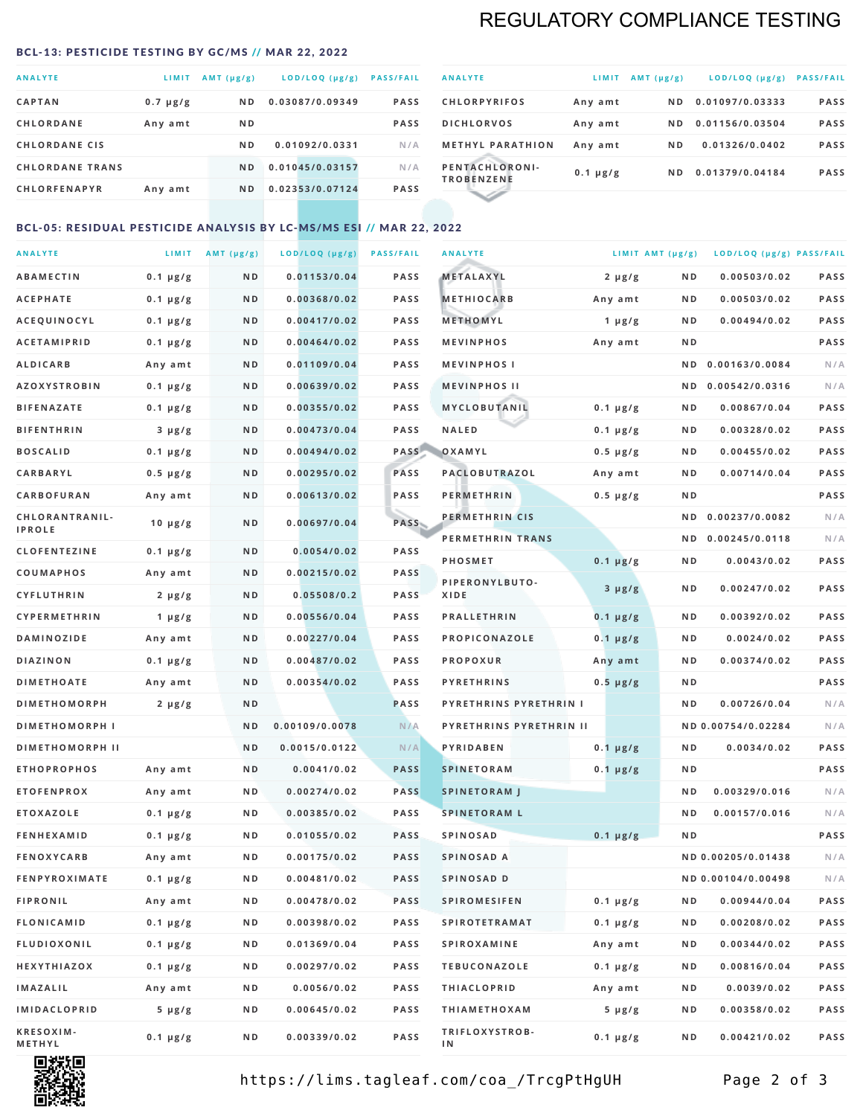# REGULATORY COMPLIANCE TESTING

#### <span id="page-1-0"></span>BCL-13: PESTICIDE TESTING BY GC/MS // MAR 22, 2022

| <b>ANALYTE</b>         | LIMIT         | $AMT(\mu g/g)$ | LOD/LOQ (µg/g)  | <b>PASS/FAIL</b> |
|------------------------|---------------|----------------|-----------------|------------------|
| <b>CAPTAN</b>          | $0.7 \mu g/g$ | N <sub>D</sub> | 0.03087/0.09349 | <b>PASS</b>      |
| <b>CHLORDANE</b>       | Any amt       | N <sub>D</sub> |                 | <b>PASS</b>      |
| <b>CHLORDANE CIS</b>   |               | N <sub>D</sub> | 0.01092/0.0331  | N/A              |
| <b>CHLORDANE TRANS</b> |               | N <sub>D</sub> | 0.01045/0.03157 | N/A              |
| <b>CHLORFENAPYR</b>    | Any amt       | N <sub>D</sub> | 0.02353/0.07124 | <b>PASS</b>      |

| <b>ANALYTE</b>                      | LIMIT         | $AMT (\mu g/g)$ | $LOD/LOQ$ ( $\mu g/g$ ) | <b>PASS/FAIL</b> |
|-------------------------------------|---------------|-----------------|-------------------------|------------------|
| <b>CHLORPYRIFOS</b>                 | Any amt       | ND.             | 0.01097/0.03333         | <b>PASS</b>      |
| <b>DICHLORVOS</b>                   | Any amt       | ND.             | 0.01156/0.03504         | <b>PASS</b>      |
| <b>METHYL PARATHION</b>             | Any amt       | ND.             | 0.01326/0.0402          | <b>PASS</b>      |
| PENTACHLORONI-<br><b>TROBENZENE</b> | $0.1 \mu g/g$ | ND.             | 0.01379/0.04184         | <b>PASS</b>      |
|                                     |               |                 |                         |                  |

## BCL-05: RESIDUAL PESTICIDE ANALYSIS BY LC-MS/MS ESI // MAR 22, 2022

| <b>ANALYTE</b>             |               | LIMIT $AMT (\mu g/g)$ | LOD/LOQ (µg/g) | <b>PASS/FAIL</b> | <b>ANALYTE</b>          |               | LIMIT AMT $(\mu g/g)$ | LOD/LOQ (µg/g) PASS/FAIL |             |
|----------------------------|---------------|-----------------------|----------------|------------------|-------------------------|---------------|-----------------------|--------------------------|-------------|
| ABAMECTIN                  | $0.1 \mu g/g$ | ND                    | 0.01153/0.04   | <b>PASS</b>      | METALAXYL               | $2 \mu g/g$   | N D                   | 0.00503/0.02             | <b>PASS</b> |
| <b>ACEPHATE</b>            | $0.1 \mu g/g$ | N D                   | 0.00368/0.02   | <b>PASS</b>      | <b>METHIOCARB</b>       | Any amt       | N D                   | 0.00503/0.02             | PASS        |
| <b>ACEQUINOCYL</b>         | $0.1 \mu g/g$ | N D                   | 0.00417/0.02   | <b>PASS</b>      | METHOMYL                | 1 $\mu$ g/g   | N D                   | 0.00494/0.02             | PASS        |
| <b>ACETAMIPRID</b>         | $0.1 \mu g/g$ | N D                   | 0.00464/0.02   | <b>PASS</b>      | <b>MEVINPHOS</b>        | Any amt       | N D                   |                          | PASS        |
| <b>ALDICARB</b>            | Any amt       | N D                   | 0.01109/0.04   | <b>PASS</b>      | <b>MEVINPHOSI</b>       |               | N D                   | 0.00163/0.0084           | N/A         |
| <b>AZOXYSTROBIN</b>        | $0.1 \mu g/g$ | N D                   | 0.00639/0.02   | <b>PASS</b>      | <b>MEVINPHOS II</b>     |               | N D                   | 0.00542/0.0316           | N/A         |
| <b>BIFENAZATE</b>          | $0.1 \mu g/g$ | N D                   | 0.00355/0.02   | <b>PASS</b>      | MYCLOBUTANIL            | $0.1 \mu g/g$ | N D                   | 0.00867/0.04             | PASS        |
| <b>BIFENTHRIN</b>          | $3 \mu g/g$   | ND                    | 0.00473/0.04   | <b>PASS</b>      | <b>NALED</b>            | $0.1 \mu g/g$ | N D                   | 0.00328/0.02             | PASS        |
| <b>BOSCALID</b>            | $0.1 \mu g/g$ | N D                   | 0.00494/0.02   | PASS             | OXAMYL                  | $0.5 \mu g/g$ | N D                   | 0.00455/0.02             | <b>PASS</b> |
| <b>CARBARYL</b>            | $0.5 \mu g/g$ | ND                    | 0.00295/0.02   | PASS             | PACLOBUTRAZOL           | Any amt       | N D                   | 0.00714/0.04             | PASS        |
| CARBOFURAN                 | Any amt       | N D                   | 0.00613/0.02   | <b>PASS</b>      | <b>PERMETHRIN</b>       | $0.5 \mu g/g$ | N D                   |                          | PASS        |
| CHLORANTRANIL-             | $10 \mu g/g$  | N D                   | 0.00697/0.04   | PASS             | PERMETHRIN CIS          |               | N D                   | 0.00237/0.0082           | N/A         |
| <b>IPROLE</b>              |               |                       |                |                  | PERMETHRIN TRANS        |               | N D                   | 0.00245/0.0118           | N/A         |
| <b>CLOFENTEZINE</b>        | $0.1 \mu g/g$ | N D                   | 0.0054/0.02    | <b>PASS</b>      | PHOSMET                 | $0.1 \mu g/g$ | N D                   | 0.0043/0.02              | PASS        |
| COUMAPHOS                  | Any amt       | N D                   | 0.00215/0.02   | <b>PASS</b>      | PIPERONYLBUTO-          | $3 \mu g/g$   | N D                   | 0.00247/0.02             | PASS        |
| <b>CYFLUTHRIN</b>          | $2 \mu g/g$   | N D                   | 0.05508/0.2    | <b>PASS</b>      | XIDE                    |               |                       |                          |             |
| <b>CYPERMETHRIN</b>        | 1 $\mu$ g/g   | ND                    | 0.00556/0.04   | <b>PASS</b>      | <b>PRALLETHRIN</b>      | $0.1 \mu g/g$ | N D                   | 0.00392/0.02             | PASS        |
| <b>DAMINOZIDE</b>          | Any amt       | N D                   | 0.00227/0.04   | <b>PASS</b>      | PROPICONAZOLE           | $0.1 \mu g/g$ | N D                   | 0.0024/0.02              | PASS        |
| <b>DIAZINON</b>            | $0.1 \mu g/g$ | N D                   | 0.00487/0.02   | <b>PASS</b>      | <b>PROPOXUR</b>         | Any amt       | N D                   | 0.00374/0.02             | PASS        |
| <b>DIMETHOATE</b>          | Any amt       | N D                   | 0.00354/0.02   | <b>PASS</b>      | <b>PYRETHRINS</b>       | $0.5 \mu g/g$ | N D                   |                          | PASS        |
| <b>DIMETHOMORPH</b>        | $2 \mu g/g$   | N D                   |                | <b>PASS</b>      | PYRETHRINS PYRETHRIN I  |               | ND                    | 0.00726/0.04             | N/A         |
| <b>DIMETHOMORPH I</b>      |               | N D                   | 0.00109/0.0078 | N/A              | PYRETHRINS PYRETHRIN II |               |                       | ND 0.00754/0.02284       | N/A         |
| <b>DIMETHOMORPH II</b>     |               | ND                    | 0.0015/0.0122  | N/A              | PYRIDABEN               | $0.1 \mu g/g$ | N D                   | 0.0034/0.02              | <b>PASS</b> |
| <b>ETHOPROPHOS</b>         | Any amt       | N D                   | 0.0041/0.02    | <b>PASS</b>      | <b>SPINETORAM</b>       | $0.1 \mu g/g$ | N D                   |                          | PASS        |
| <b>ETOFENPROX</b>          | Any amt       | N D                   | 0.00274/0.02   | <b>PASS</b>      | <b>SPINETORAM J</b>     |               | N D                   | 0.00329/0.016            | N/A         |
| <b>ETOXAZOLE</b>           | $0.1 \mu g/g$ | N D                   | 0.00385/0.02   | <b>PASS</b>      | <b>SPINETORAM L</b>     |               | ND                    | 0.00157/0.016            | N/A         |
| <b>FENHEXAMID</b>          | $0.1 \mu g/g$ | N D                   | 0.01055/0.02   | <b>PASS</b>      | <b>SPINOSAD</b>         | $0.1 \mu g/g$ | ND                    |                          | PASS        |
| <b>FENOXYCARB</b>          | Any amt       | ND.                   | 0.00175/0.02   | <b>PASS</b>      | SPINOSAD A              |               |                       | ND 0.00205/0.01438       | N/A         |
| <b>FENPYROXIMATE</b>       | $0.1 \mu g/g$ | N D                   | 0.00481/0.02   | <b>PASS</b>      | SPINOSAD D              |               |                       | ND 0.00104/0.00498       | N/A         |
| <b>FIPRONIL</b>            | Any amt       | N D                   | 0.00478/0.02   | PASS             | <b>SPIROMESIFEN</b>     | $0.1 \mu g/g$ | N D                   | 0.00944/0.04             | PASS        |
| FLONICAMID                 | $0.1 \mu g/g$ | N D                   | 0.00398/0.02   | PASS             | <b>SPIROTETRAMAT</b>    | $0.1 \mu g/g$ | N D                   | 0.00208/0.02             | PASS        |
| <b>FLUDIOXONIL</b>         | $0.1 \mu g/g$ | N D                   | 0.01369/0.04   | PASS             | <b>SPIROXAMINE</b>      | Any amt       | N D                   | 0.00344/0.02             | PASS        |
| HEXYTHIAZOX                | $0.1 \mu g/g$ | N D                   | 0.00297/0.02   | PASS             | <b>TEBUCONAZOLE</b>     | $0.1 \mu g/g$ | N D                   | 0.00816/0.04             | PASS        |
| IMAZALIL                   | Any amt       | N D                   | 0.0056/0.02    | PASS             | <b>THIACLOPRID</b>      | Any amt       | N D                   | 0.0039/0.02              | PASS        |
| IMIDACLOPRID               | $5 \mu g/g$   | N D                   | 0.00645/0.02   | PASS             | <b>THIAMETHOXAM</b>     | $5 \mu g/g$   | N D                   | 0.00358/0.02             | PASS        |
| <b>KRESOXIM-</b><br>METHYL | $0.1 \mu g/g$ | N D                   | 0.00339/0.02   | PASS             | TRIFLOXYSTROB-<br>IN.   | $0.1 \mu g/g$ | N D                   | 0.00421/0.02             | PASS        |